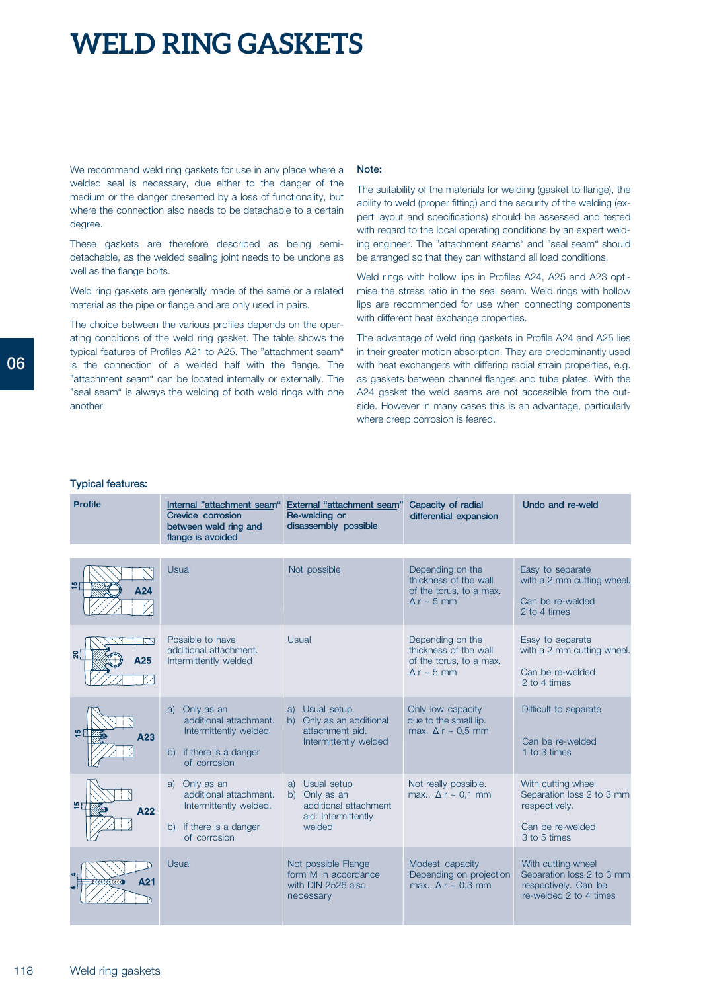We recommend weld ring gaskets for use in any place where a welded seal is necessary, due either to the danger of the medium or the danger presented by a loss of functionality, but where the connection also needs to be detachable to a certain degree.

These gaskets are therefore described as being semidetachable, as the welded sealing joint needs to be undone as well as the flange bolts.

Weld ring gaskets are generally made of the same or a related material as the pipe or flange and are only used in pairs.

The choice between the various profiles depends on the operating conditions of the weld ring gasket. The table shows the typical features of Profiles A21 to A25. The "attachment seam" is the connection of a welded half with the flange. The "attachment seam" can be located internally or externally. The "seal seam" is always the welding of both weld rings with one another.

#### **Note:**

The suitability of the materials for welding (gasket to flange), the ability to weld (proper fitting) and the security of the welding (expert layout and specifications) should be assessed and tested with regard to the local operating conditions by an expert welding engineer. The "attachment seams" and "seal seam" should be arranged so that they can withstand all load conditions.

Weld rings with hollow lips in Profiles A24, A25 and A23 optimise the stress ratio in the seal seam. Weld rings with hollow lips are recommended for use when connecting components with different heat exchange properties.

The advantage of weld ring gaskets in Profile A24 and A25 lies in their greater motion absorption. They are predominantly used with heat exchangers with differing radial strain properties, e.g. as gaskets between channel flanges and tube plates. With the A24 gasket the weld seams are not accessible from the outside. However in many cases this is an advantage, particularly where creep corrosion is feared.

#### **Typical features:**

| <b>Profile</b> | Internal "attachment seam"<br>Crevice corrosion<br>between weld ring and<br>flange is avoided                      | External "attachment seam'<br>Re-welding or<br>disassembly possible                          | Capacity of radial<br>differential expansion                                                 | Undo and re-weld                                                                                     |
|----------------|--------------------------------------------------------------------------------------------------------------------|----------------------------------------------------------------------------------------------|----------------------------------------------------------------------------------------------|------------------------------------------------------------------------------------------------------|
|                |                                                                                                                    |                                                                                              |                                                                                              |                                                                                                      |
| ر ما<br>A24    | Usual                                                                                                              | Not possible                                                                                 | Depending on the<br>thickness of the wall<br>of the torus, to a max.<br>$\Delta r \sim 5$ mm | Easy to separate<br>with a 2 mm cutting wheel.<br>Can be re-welded<br>2 to 4 times                   |
| ສ:<br>A25      | Possible to have<br>additional attachment.<br>Intermittently welded                                                | Usual                                                                                        | Depending on the<br>thickness of the wall<br>of the torus, to a max.<br>$\Delta r \sim 5$ mm | Easy to separate<br>with a 2 mm cutting wheel.<br>Can be re-welded<br>2 to 4 times                   |
| A23            | Only as an<br>a)<br>additional attachment.<br>Intermittently welded<br>if there is a danger<br>(b)<br>of corrosion | Usual setup<br>a)<br>b) Only as an additional<br>attachment aid.<br>Intermittently welded    | Only low capacity<br>due to the small lip.<br>max. $\Delta r \sim 0.5$ mm                    | Difficult to separate<br>Can be re-welded<br>1 to 3 times                                            |
| A22            | Only as an<br>a)<br>additional attachment.<br>Intermittently welded.<br>if there is a danger<br>b)<br>of corrosion | Usual setup<br>a)<br>b) Only as an<br>additional attachment<br>aid. Intermittently<br>welded | Not really possible.<br>max $\Delta r \sim 0.1$ mm                                           | With cutting wheel<br>Separation loss 2 to 3 mm<br>respectively.<br>Can be re-welded<br>3 to 5 times |
| A21            | Usual                                                                                                              | Not possible Flange<br>form M in accordance<br>with DIN 2526 also<br>necessary               | Modest capacity<br>Depending on projection<br>max $\Delta r \sim 0.3$ mm                     | With cutting wheel<br>Separation loss 2 to 3 mm<br>respectively. Can be<br>re-welded 2 to 4 times    |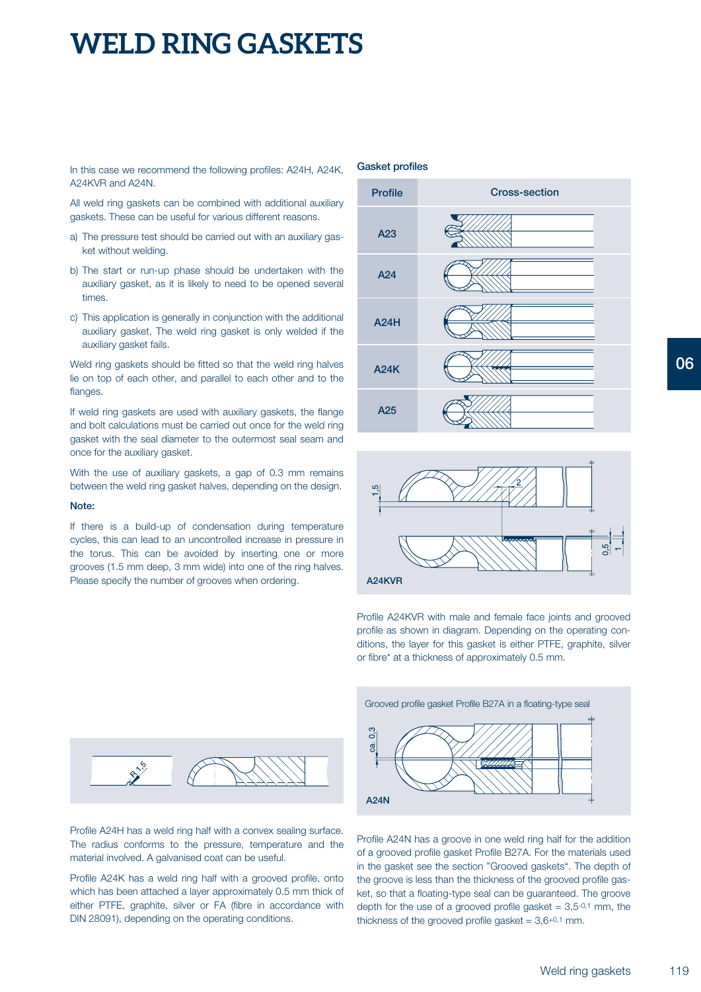In this case we recommend the following profiles: A24H, A24K, **Gasket profiles** A24KVR and A24N.

All weld ring gaskets can be combined with additional auxiliary gaskets. These can be useful for various different reasons.

- a) The pressure test should be carried out with an auxiliary gasket without welding.
- b) The start or run-up phase should be undertaken with the auxiliary gasket, as it is likely to need to be opened several times.
- c) This application is generally in conjunction with the additional auxiliary gasket. The weld ring gasket is only welded if the auxiliary gasket fails.

Weld ring gaskets should be fitted so that the weld ring halves lie on top of each other, and parallel to each other and to the flanges.

If weld ring gaskets are used with auxiliary gaskets, the flange and bolt calculations must be carried out once for the weld ring gasket with the seal diameter to the outermost seal seam and once for the auxiliary gasket.

With the use of auxiliary gaskets, a gap of 0.3 mm remains between the weld ring gasket halves, depending on the design.

#### **Note:**

If there is a build-up of condensation during temperature cycles, this can lead to an uncontrolled increase in pressure in the torus. This can be avoided by inserting one or more grooves (1.5 mm deep, 3 mm wide) into one of the ring halves. Please specify the number of grooves when ordering.



Profile A24H has a weld ring half with a convex sealing surface. The radius conforms to the pressure, temperature and the material involved. A galvanised coat can be useful.

Profile A24K has a weld ring half with a grooved profile, onto which has been attached a layer approximately 0.5 mm thick of either PTFE, graphite, silver or FA (fibre in accordance with DIN 28091), depending on the operating conditions.





Profile A24KVR with male and female face joints and grooved profile as shown in diagram. Depending on the operating conditions, the layer for this gasket is either PTFE, graphite, silver or fibre\* at a thickness of approximately 0.5 mm.



Profile A24N has a groove in one weld ring half for the addition of a grooved profile gasket Profile B27A. For the materials used in the gasket see the section "Grooved gaskets". The depth of the groove is less than the thickness of the grooved profile gasket, so that a floating-type seal can be guaranteed. The groove depth for the use of a grooved profile gasket =  $3,5^{-0,1}$  mm, the thickness of the grooved profile gasket =  $3,6+0,1$  mm.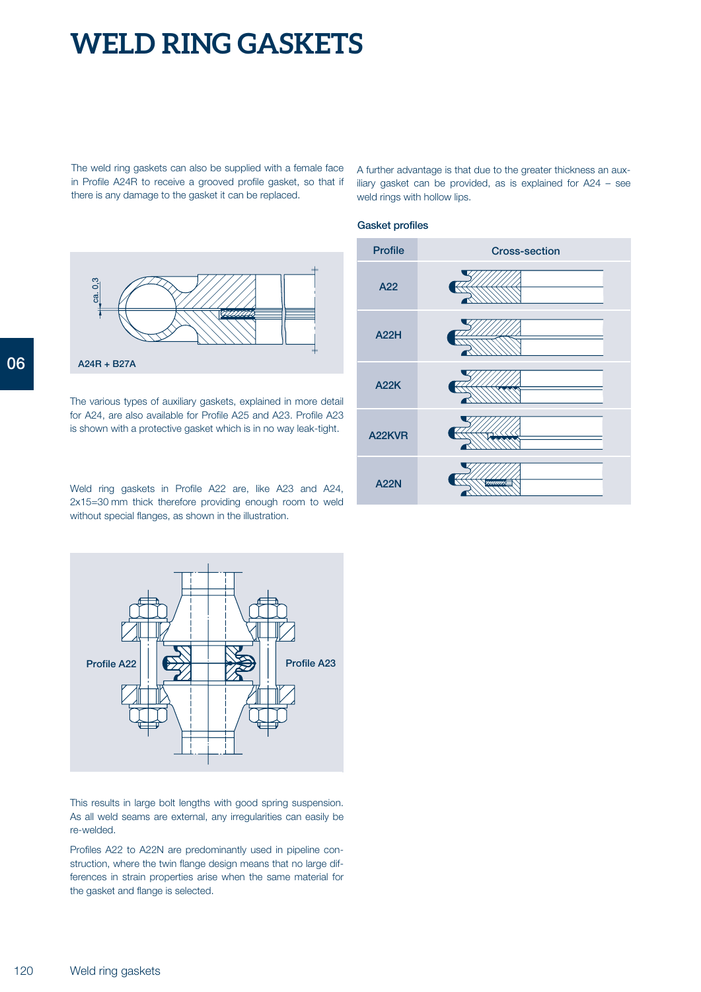The weld ring gaskets can also be supplied with a female face in Profile A24R to receive a grooved profile gasket, so that if there is any damage to the gasket it can be replaced.

 $0,3$ g **06 A24R + B27A**

> The various types of auxiliary gaskets, explained in more detail for A24, are also available for Profile A25 and A23. Profile A23 is shown with a protective gasket which is in no way leak-tight.

> Weld ring gaskets in Profile A22 are, like A23 and A24, 2x15=30 mm thick therefore providing enough room to weld without special flanges, as shown in the illustration.



This results in large bolt lengths with good spring suspension. As all weld seams are external, any irregularities can easily be re-welded.

Profiles A22 to A22N are predominantly used in pipeline construction, where the twin flange design means that no large differences in strain properties arise when the same material for the gasket and flange is selected.

A further advantage is that due to the greater thickness an auxiliary gasket can be provided, as is explained for A24 – see weld rings with hollow lips.

### **Gasket profiles**

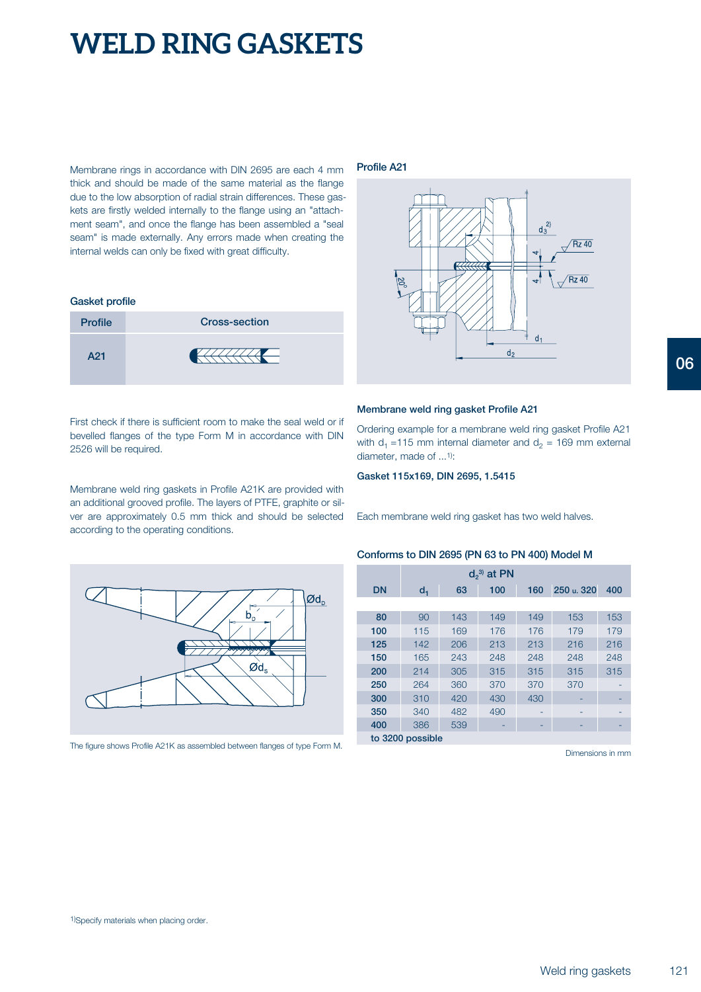Membrane rings in accordance with DIN 2695 are each 4 mm thick and should be made of the same material as the flange due to the low absorption of radial strain differences. These gaskets are firstly welded internally to the flange using an "attachment seam", and once the flange has been assembled a "seal seam" is made externally. Any errors made when creating the internal welds can only be fixed with great difficulty.

#### **Gasket profile**

| <b>Profile</b> | <b>Cross-section</b> |
|----------------|----------------------|
| A21            |                      |

First check if there is sufficient room to make the seal weld or if bevelled flanges of the type Form M in accordance with DIN 2526 will be required.

Membrane weld ring gaskets in Profile A21K are provided with an additional grooved profile. The layers of PTFE, graphite or silver are approximately 0.5 mm thick and should be selected according to the operating conditions.



The figure shows Profile A21K as assembled between flanges of type Form M.

#### **Profile A21**



#### **Membrane weld ring gasket Profile A21**

Ordering example for a membrane weld ring gasket Profile A21 with  $d_1$  =115 mm internal diameter and  $d_2$  = 169 mm external diameter, made of ...1):

**Gasket 115x169, DIN 2695, 1.5415**

Each membrane weld ring gasket has two weld halves.

#### **Conforms to DIN 2695 (PN 63 to PN 400) Model M**

|           |                  |     | $d_2^{(3)}$ at PN |     |            |     |
|-----------|------------------|-----|-------------------|-----|------------|-----|
| <b>DN</b> | $d_1$            | 63  | 100               | 160 | 250 u. 320 | 400 |
|           |                  |     |                   |     |            |     |
| 80        | 90               | 143 | 149               | 149 | 153        | 153 |
| 100       | 115              | 169 | 176               | 176 | 179        | 179 |
| 125       | 142              | 206 | 213               | 213 | 216        | 216 |
| 150       | 165              | 243 | 248               | 248 | 248        | 248 |
| 200       | 214              | 305 | 315               | 315 | 315        | 315 |
| 250       | 264              | 360 | 370               | 370 | 370        |     |
| 300       | 310              | 420 | 430               | 430 |            |     |
| 350       | 340              | 482 | 490               | ۰   |            |     |
| 400       | 386              | 539 |                   |     |            |     |
|           | to 3200 possible |     |                   |     |            |     |

Dimensions in mm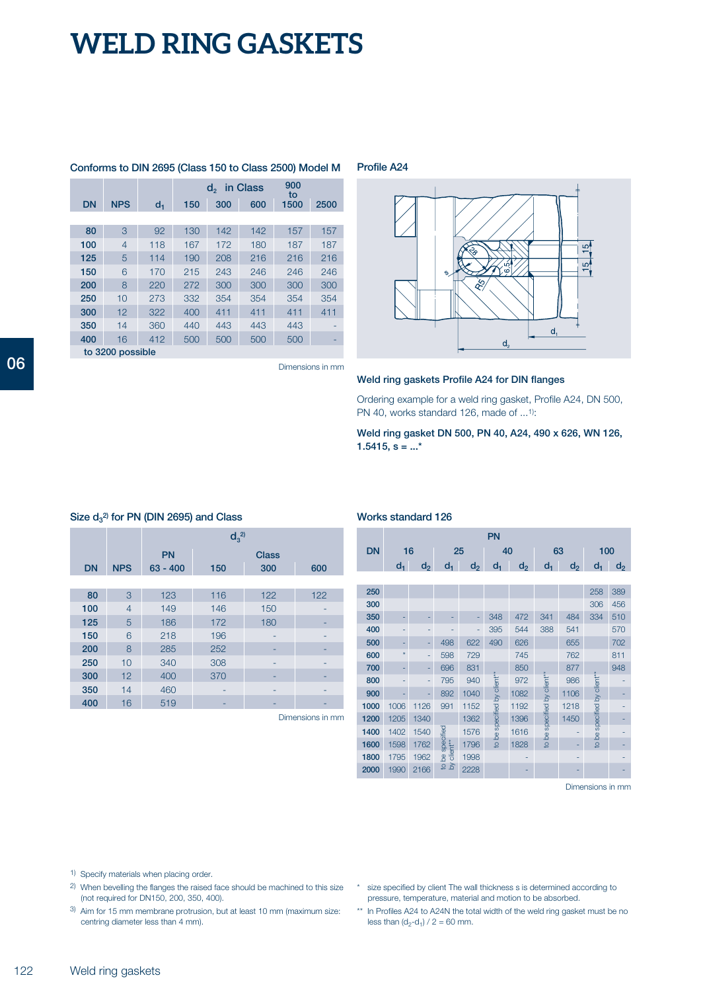|     |                  |       |     |             |          | Conforms to DIN 2695 (Class 150 to Class 2500) Model M |      |
|-----|------------------|-------|-----|-------------|----------|--------------------------------------------------------|------|
|     |                  |       |     | $d_{\circ}$ | in Class | 900<br>to                                              |      |
| DN  | <b>NPS</b>       | $d_1$ | 150 | 300         | 600      | 1500                                                   | 2500 |
|     |                  |       |     |             |          |                                                        |      |
| 80  | 3                | 92    | 130 | 142         | 142      | 157                                                    | 157  |
| 100 | 4                | 118   | 167 | 172         | 180      | 187                                                    | 187  |
| 125 | 5                | 114   | 190 | 208         | 216      | 216                                                    | 216  |
| 150 | 6                | 170   | 215 | 243         | 246      | 246                                                    | 246  |
| 200 | 8                | 220   | 272 | 300         | 300      | 300                                                    | 300  |
| 250 | 10               | 273   | 332 | 354         | 354      | 354                                                    | 354  |
| 300 | 12               | 322   | 400 | 411         | 411      | 411                                                    | 411  |
| 350 | 14               | 360   | 440 | 443         | 443      | 443                                                    |      |
| 400 | 16               | 412   | 500 | 500         | 500      | 500                                                    |      |
|     | to 3200 possible |       |     |             |          |                                                        |      |

**Profile A24**



Dimensions in mm

### **Weld ring gaskets Profile A24 for DIN flanges**

Ordering example for a weld ring gasket, Profile A24, DN 500, PN 40, works standard 126, made of ...<sup>1)</sup>:

**Weld ring gasket DN 500, PN 40, A24, 490 x 626, WN 126, 1.5415, s = ...\***

|           |                |            | $d_3^{\,2)}$ |              |     |
|-----------|----------------|------------|--------------|--------------|-----|
|           |                | <b>PN</b>  |              | <b>Class</b> |     |
| <b>DN</b> | <b>NPS</b>     | $63 - 400$ | 150          | 300          | 600 |
|           |                |            |              |              |     |
| 80        | 3              | 123        | 116          | 122          | 122 |
| 100       | $\overline{4}$ | 149        | 146          | 150          |     |
| 125       | 5              | 186        | 172          | 180          |     |
| 150       | 6              | 218        | 196          | -            |     |
| 200       | 8              | 285        | 252          |              |     |
| 250       | 10             | 340        | 308          | ۰            |     |
| 300       | 12             | 400        | 370          |              |     |
| 350       | 14             | 460        |              | -            |     |
| 400       | 16             | 519        |              |              |     |

### **S 2) ize d<sup>3</sup> for PN (DIN 2695) and Class**

Dimensions in mm

### **Works standard 126**

|           |         |       |                             |      | PN                          |                |                             |                |                             |                |
|-----------|---------|-------|-----------------------------|------|-----------------------------|----------------|-----------------------------|----------------|-----------------------------|----------------|
| <b>DN</b> | 16      |       |                             | 25   | 40                          |                | 63                          |                | 100                         |                |
|           | $d_1$   | $d_2$ | $d_1$                       | d,   | $d_1$                       | d <sub>2</sub> | d,                          | d <sub>2</sub> | $d_1$                       | d <sub>2</sub> |
|           |         |       |                             |      |                             |                |                             |                |                             |                |
| 250       |         |       |                             |      |                             |                |                             |                | 258                         | 389            |
| 300       |         |       |                             |      |                             |                |                             |                | 306                         | 456            |
| 350       |         |       |                             |      | 348                         | 472            | 341                         | 484            | 334                         | 510            |
| 400       |         |       |                             | ٠    | 395                         | 544            | 388                         | 541            |                             | 570            |
| 500       |         |       | 498                         | 622  | 490                         | 626            |                             | 655            |                             | 702            |
| 600       | $\star$ |       | 598                         | 729  |                             | 745            |                             | 762            |                             | 811            |
| 700       |         |       | 696                         | 831  |                             | 850            |                             | 877            |                             | 948            |
| 800       |         |       | 795                         | 940  |                             | 972            |                             | 986            |                             |                |
| 900       |         | -     | 892                         | 1040 | to be specified by client** | 1082           | to be specified by client** | 1106           | to be specified by client** |                |
| 1000      | 1006    | 1126  | 991                         | 1152 |                             | 1192           |                             | 1218           |                             |                |
| 1200      | 1205    | 1340  |                             | 1362 |                             | 1396           |                             | 1450           |                             |                |
| 1400      | 1402    | 1540  |                             | 1576 |                             | 1616           |                             |                |                             |                |
| 1600      | 1598    | 1762  |                             | 1796 |                             | 1828           |                             |                |                             |                |
| 1800      | 1795    | 1962  | to be specified<br>client** | 1998 |                             |                |                             |                |                             |                |
| 2000      | 1990    | 2166  | δy                          | 2228 |                             |                |                             |                |                             |                |
|           |         |       |                             |      |                             |                |                             |                |                             |                |

Dimensions in mm

1) Specify materials when placing order.

- 2) When bevelling the flanges the raised face should be machined to this size (not required for DN150, 200, 350, 400).
- 3) Aim for 15 mm membrane protrusion, but at least 10 mm (maximum size: centring diameter less than 4 mm).
- \* size specified by client The wall thickness s is determined according to pressure, temperature, material and motion to be absorbed.
- \*\* In Profiles A24 to A24N the total width of the weld ring gasket must be no less than  $(d_2-d_1) / 2 = 60$  mm.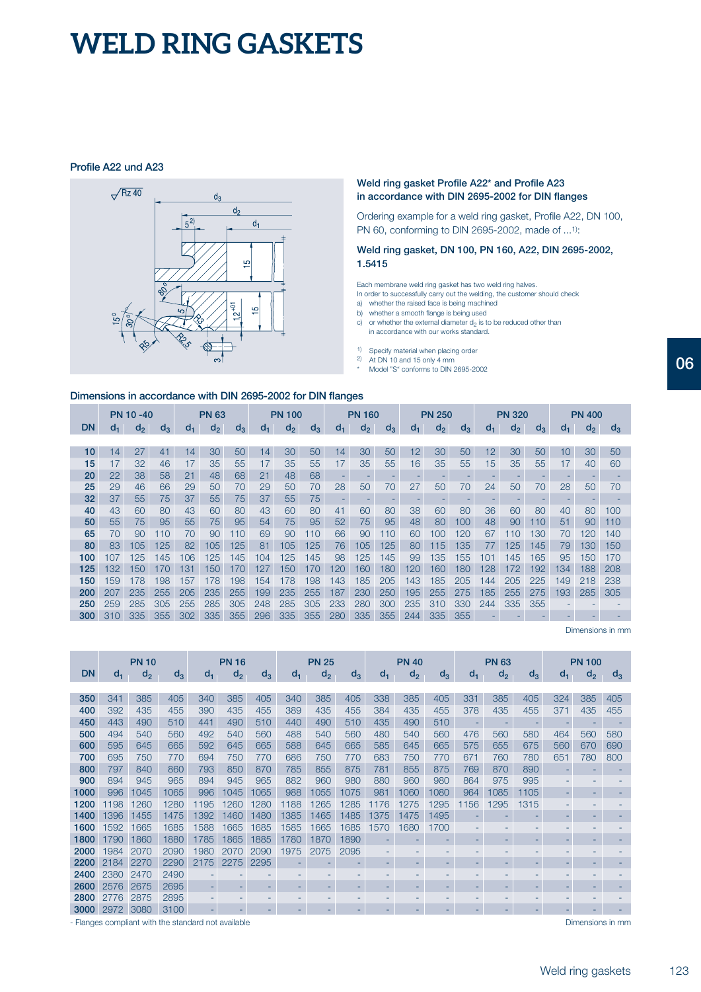### **Profile A22 und A23**



### **Weld ring gasket Profile A22\* and Profile A23 in accordance with DIN 2695-2002 for DIN flanges**

Ordering example for a weld ring gasket, Profile A22, DN 100, PN 60, conforming to DIN 2695-2002, made of ...1):

**Weld ring gasket, DN 100, PN 160, A22, DIN 2695-2002, 1.5415**

Each membrane weld ring gasket has two weld ring halves.

In order to successfully carry out the welding, the customer should check a) whether the raised face is being machined

- 
- b) whether a smooth flange is being used c) or whether the external diameter  $d_2$  is to be reduced other than
- in accordance with our works standard.
- 1) Specify material when placing order
- 2) At DN 10 and 15 only 4 mm
- Model "S" conforms to DIN 2695-2002

| Dimensions in accordance with DIN 2695-2002 for DIN flanges |       |                  |       |     |                |       |         |               |       |       |                          |       |                          |                |       |                 |               |       |     |                |                 |
|-------------------------------------------------------------|-------|------------------|-------|-----|----------------|-------|---------|---------------|-------|-------|--------------------------|-------|--------------------------|----------------|-------|-----------------|---------------|-------|-----|----------------|-----------------|
|                                                             |       | <b>PN 10 -40</b> |       |     | <b>PN 63</b>   |       |         | <b>PN 100</b> |       |       | <b>PN 160</b>            |       |                          | <b>PN 250</b>  |       |                 | <b>PN 320</b> |       |     | <b>PN 400</b>  |                 |
| <b>DN</b>                                                   | $d_1$ | $d_2$            | $d_3$ | d.  | d <sub>2</sub> | $d_3$ | $d_{1}$ | $d_2$         | $d_3$ | $d_1$ | d <sub>2</sub>           | $d_3$ | d <sub>1</sub>           | d <sub>2</sub> | $d_3$ | $d_1$           | $d_2$         | $d_3$ | d.  | d <sub>2</sub> | d,              |
|                                                             |       |                  |       |     |                |       |         |               |       |       |                          |       |                          |                |       |                 |               |       |     |                |                 |
| 10                                                          | 14    | 27               | 41    | 14  | 30             | 50    | 14      | 30            | 50    | 14    | 30                       | 50    | 12                       | 30             | 50    | 12              | 30            | 50    | 10  | 30             | 5C              |
| 15                                                          | 17    | 32               | 46    | 17  | 35             | 55    | 17      | 35            | 55    | 17    | 35                       | 55    | 16                       | 35             | 55    | 15 <sub>1</sub> | 35            | 55    | 17  | 40             | 6C              |
| 20                                                          | 22    | 38               | 58    | 21  | 48             | 68    | 21      | 48            | 68    |       |                          |       |                          |                |       |                 |               |       |     |                |                 |
| 25                                                          | 29    | 46               | 66    | 29  | 50             | 70    | 29      | 50            | 70    | 28    | 50                       | 70    | 27                       | 50             | 70    | 24              | 50            | 70    | 28  | 50             | 7C              |
| 32                                                          | 37    | 55               | 75    | 37  | 55             | 75    | 37      | 55            | 75    |       | $\overline{\phantom{a}}$ |       | $\overline{\phantom{a}}$ |                | -     |                 |               | ٠     |     |                |                 |
| 40                                                          | 43    | 60               | 80    | 43  | 60             | 80    | 43      | 60            | 80    | 41    | 60                       | 80    | 38                       | 60             | 80    | 36              | 60            | 80    | 40  | 80             | 10 <sup>c</sup> |
| 50                                                          | 55    | 75               | 95    | 55  | 75             | 95    | 54      | 75            | 95    | 52    | 75                       | 95    | 48                       | 80             | 100   | 48              | 90            | 110   | 51  | 90             | 11C             |
| 65                                                          | 70    | 90               | 110   | 70  | 90             | 110   | 69      | 90            | 110   | 66    | 90                       | 110   | 60                       | 100            | 120   | 67              | 110           | 130   | 70  | 120            | 14C             |
| 80                                                          | 83    | 105              | 125   | 82  | 105            | 125   | 81      | 105           | 125   | 76    | 105                      | 125   | 80                       | 115            | 135   | 77              | 125           | 145   | 79  | 130            | 15C             |
| 100                                                         | 107   | 125              | 145   | 106 | 125            | 145   | 104     | 125           | 145   | 98    | 125                      | 145   | 99                       | 135            | 155   | 101             | 145           | 165   | 95  | 150            | 17C             |
| 125                                                         | 132   | 150              | 170   | 131 | 150            | 170   | 127     | 150           | 170   | 120   | 160                      | 180   | 120                      | 160            | 180   | 128             | 172           | 192   | 134 | 188            | 208             |
| 150                                                         | 159   | 178              | 198   | 157 | 178            | 198   | 154     | 178           | 198   | 143   | 185                      | 205   | 143                      | 185            | 205   | 144             | 205           | 225   | 149 | 218            | 238             |
| 200                                                         | 207   | 235              | 255   | 205 | 235            | 255   | 199     | 235           | 255   | 187   | 230                      | 250   | 195                      | 255            | 275   | 185             | 255           | 275   | 193 | 285            | 305             |
| 250                                                         | 259   | 285              | 305   | 255 | 285            | 305   | 248     | 285           | 305   | 233   | 280                      | 300   | 235                      | 310            | 330   | 244             | 335           | 355   |     |                |                 |
| 300                                                         | 310   | 335              | 355   | 302 | 335            | 355   | 296     | 335           | 355   | 280   | 335                      | 355   | 244                      | 335            | 355   |                 |               | -     | -   |                |                 |

Dimensions in mm

|           |       | <b>PN 10</b> |       |       | <b>PN 16</b> |       |       | <b>PN 25</b> |       |       | <b>PN 40</b> |       |       | <b>PN 63</b> |       |       | <b>PN 100</b> |       |
|-----------|-------|--------------|-------|-------|--------------|-------|-------|--------------|-------|-------|--------------|-------|-------|--------------|-------|-------|---------------|-------|
| <b>DN</b> | $d_1$ | $d_2$        | $d_3$ | $d_1$ | $d_2$        | $d_3$ | $d_1$ | $d_2$        | $d_3$ | $d_1$ | $d_2$        | $d_3$ | $d_1$ | $d_2$        | $d_3$ | $d_1$ | $d_{2}$       | $d_3$ |
|           |       |              |       |       |              |       |       |              |       |       |              |       |       |              |       |       |               |       |
| 350       | 341   | 385          | 405   | 340   | 385          | 405   | 340   | 385          | 405   | 338   | 385          | 405   | 331   | 385          | 405   | 324   | 385           | 405   |
| 400       | 392   | 435          | 455   | 390   | 435          | 455   | 389   | 435          | 455   | 384   | 435          | 455   | 378   | 435          | 455   | 371   | 435           | 455   |
| 450       | 443   | 490          | 510   | 441   | 490          | 510   | 440   | 490          | 510   | 435   | 490          | 510   | ٠     | ٠            | ٠     | -     |               |       |
| 500       | 494   | 540          | 560   | 492   | 540          | 560   | 488   | 540          | 560   | 480   | 540          | 560   | 476   | 560          | 580   | 464   | 560           | 580   |
| 600       | 595   | 645          | 665   | 592   | 645          | 665   | 588   | 645          | 665   | 585   | 645          | 665   | 575   | 655          | 675   | 560   | 670           | 690   |
| 700       | 695   | 750          | 770   | 694   | 750          | 770   | 686   | 750          | 770   | 683   | 750          | 770   | 671   | 760          | 780   | 651   | 780           | 800   |
| 800       | 797   | 840          | 860   | 793   | 850          | 870   | 785   | 855          | 875   | 781   | 855          | 875   | 769   | 870          | 890   | ٠     |               |       |
| 900       | 894   | 945          | 965   | 894   | 945          | 965   | 882   | 960          | 980   | 880   | 960          | 980   | 864   | 975          | 995   |       |               |       |
| 1000      | 996   | 1045         | 1065  | 996   | 1045         | 1065  | 988   | 1055         | 1075  | 981   | 1060         | 1080  | 964   | 1085         | 1105  | ٠     | -             |       |
| 1200      | 198   | 1260         | 1280  | 1195  | 1260         | 1280  | 1188  | 1265         | 1285  | 1176  | 1275         | 1295  | 1156  | 1295         | 1315  |       |               |       |
| 1400      | 1396  | 1455         | 1475  | 1392  | 1460         | 1480  | 1385  | 1465         | 1485  | 1375  | 1475         | 1495  |       |              | ۰     | ۰     |               |       |
| 1600      | 1592  | 1665         | 1685  | 1588  | 1665         | 1685  | 1585  | 1665         | 1685  | 1570  | 1680         | 1700  |       |              |       |       |               |       |
| 1800      | 1790  | 1860         | 1880  | 1785  | 1865         | 1885  | 1780  | 1870         | 1890  |       |              | ۰     | ۰     | ۰            | ۰     | ۰     | ۰             |       |
| 2000      | 1984  | 2070         | 2090  | 1980  | 2070         | 2090  | 1975  | 2075         | 2095  |       |              |       |       |              |       |       |               |       |
| 2200      | 2184  | 2270         | 2290  | 2175  | 2275         | 2295  |       |              |       |       |              |       |       |              |       |       |               |       |
| 2400      | 2380  | 2470         | 2490  |       |              |       |       |              |       |       |              |       |       |              |       |       |               |       |
| 2600      | 2576  | 2675         | 2695  |       |              |       |       |              |       |       |              |       |       |              | ۰     |       |               |       |
| 2800      | 2776  | 2875         | 2895  |       |              |       |       |              |       |       |              |       |       |              |       |       |               |       |
| 3000      | 2972  | 3080         | 3100  |       |              |       |       |              |       |       |              |       |       |              |       |       |               |       |

Dimensions in mm

**06**

- Flanges compliant with the standard not available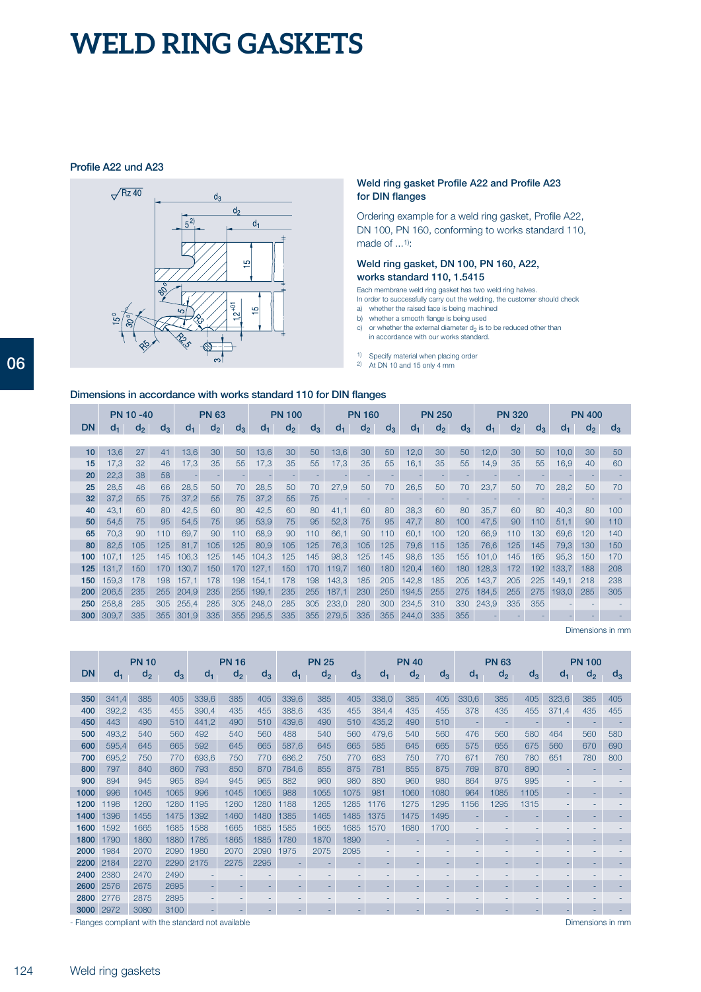### **Profile A22 und A23**



#### **Weld ring gasket Profile A22 and Profile A23 for DIN flanges**

Ordering example for a weld ring gasket, Profile A22, DN 100, PN 160, conforming to works standard 110, made of ...1):

#### **Weld ring gasket, DN 100, PN 160, A22, works standard 110, 1.5415**

Each membrane weld ring gasket has two weld ring halves.

In order to successfully carry out the welding, the customer should check a) whether the raised face is being machined b) whether a smooth flange is being used

- 
- c) or whether the external diameter  $d_2$  is to be reduced other than
- in accordance with our works standard.
- 1) Specify material when placing order
- 2) At DN 10 and 15 only 4 mm

# 

| Dimensions in accordance with works standard 110 for DIN flanges |  |  |  |  |  |  |
|------------------------------------------------------------------|--|--|--|--|--|--|
|------------------------------------------------------------------|--|--|--|--|--|--|

|                  |       | <b>PN 10 -40</b> |       |         | <b>PN 63</b>   |       |       | <b>PN 100</b> |       |       | <b>PN 160</b> |       |         | <b>PN 250</b> |       |       | <b>PN 320</b>  |       |         | <b>PN 400</b> |       |
|------------------|-------|------------------|-------|---------|----------------|-------|-------|---------------|-------|-------|---------------|-------|---------|---------------|-------|-------|----------------|-------|---------|---------------|-------|
| <b>DN</b>        | d-    | $d_2$            | $d_3$ | $d_{1}$ | d <sub>2</sub> | $d_3$ | d.    | $d_2$         | $d_3$ | d-    | $d_2$         | $d_3$ | $d_{1}$ | $d_2$         | $d_3$ | d-    | d <sub>2</sub> | $d_3$ | $d_{1}$ | $d_2$         | $d_3$ |
|                  |       |                  |       |         |                |       |       |               |       |       |               |       |         |               |       |       |                |       |         |               |       |
| 10               | 13,6  | 27               | 41    | 13,6    | 30             | 50    | 13,6  | 30            | 50    | 13,6  | 30            | 50    | 12,0    | 30            | 50    | 12,0  | 30             | 50    | 10,0    | 30            | 50    |
| 15               | 17,3  | 32               | 46    | 17,3    | 35             | 55    | 17,3  | 35            | 55    | 17,3  | 35            | 55    | 16,1    | 35            | 55    | 14,9  | 35             | 55    | 16,9    | 40            | 60    |
| 20               | 22,3  | 38               | 58    |         |                |       |       | -             |       |       |               |       |         |               |       |       |                |       |         |               |       |
| 25               | 28,5  | 46               | 66    | 28,5    | 50             | 70    | 28,5  | 50            | 70    | 27,9  | 50            | 70    | 26,5    | 50            | 70    | 23,7  | 50             | 70    | 28,2    | 50            | 70    |
| 32               | 37,2  | 55               | 75    | 37,2    | 55             | 75    | 37,2  | 55            | 75    |       |               |       |         |               |       |       |                |       |         |               |       |
| 40               | 43,1  | 60               | 80    | 42,5    | 60             | 80    | 42,5  | 60            | 80    | 41,1  | 60            | 80    | 38,3    | 60            | 80    | 35,7  | 60             | 80    | 40,3    | 80            | 100   |
| 50               | 54,5  | 75               | 95    | 54,5    | 75             | 95    | 53,9  | 75            | 95    | 52,3  | 75            | 95    | 47,7    | 80            | 100   | 47,5  | 90             | 110   | 51,1    | 90            | 110   |
| 65               | 70.3  | 90               | 110   | 69,7    | 90             | 110   | 68,9  | 90            | 110   | 66,1  | 90            | 110   | 60,1    | 100           | 120   | 66,9  | 110            | 130   | 69,6    | 120           | 140   |
| 80               | 82,5  | 105              | 125   | 81,7    | 105            | 125   | 80,9  | 105           | 125   | 76,3  | 105           | 125   | 79,6    | 115           | 135   | 76,6  | 125            | 145   | 79,3    | 130           | 150   |
| 100              | 107.1 | 125              | 145   | 106.3   | 125            | 145   | 104,3 | 125           | 145   | 98,3  | 125           | 145   | 98,6    | 135           | 155   | 101,0 | 145            | 165   | 95,3    | 150           | 170   |
| 125              | 131,7 | 150              | 170   | 130,7   | 150            | 170   | 127,1 | 150           | 170   | 119,7 | 160           | 180   | 120,4   | 160           | 180   | 128,3 | 172            | 192   | 133,7   | 188           | 208   |
| 150              | 159.3 | 178              | 198   | 157.1   | 178            | 198   | 154.1 | 178           | 198   | 143,3 | 185           | 205   | 142,8   | 185           | 205   | 143.7 | 205            | 225   | 149.1   | 218           | 238   |
| 200              | 206.5 | 235              | 255   | 204.9   | 235            | 255   | 199,1 | 235           | 255   | 187.1 | 230           | 250   | 194,5   | 255           | 275   | 184,5 | 255            | 275   | 193.0   | 285           | 305   |
| 250              | 258.8 | 285              | 305   | 255.4   | 285            | 305   | 248.0 | 285           | 305   | 233.0 | 280           | 300   | 234,5   | 310           | 330   | 243.9 | 335            | 355   |         |               |       |
| 300 <sub>1</sub> | 309.7 | 335              | 355   | 301.9   | 335            | 355   | 295,5 | 335           | 355   | 279.5 | 335           | 355   | 244.0   | 335           | 355   |       |                |       |         |               |       |

Dimensions in mm

|           |       | <b>PN 10</b> |       |       | <b>PN 16</b> |       |       | <b>PN 25</b>   |       |       | <b>PN 40</b> |       |       | <b>PN 63</b>   |       |       | <b>PN 100</b> |       |
|-----------|-------|--------------|-------|-------|--------------|-------|-------|----------------|-------|-------|--------------|-------|-------|----------------|-------|-------|---------------|-------|
| <b>DN</b> | $d_1$ | $d_2$        | $d_3$ | $d_1$ | $d_2$        | $d_3$ | $d_1$ | d <sub>2</sub> | $d_3$ | $d_1$ | $d_2$        | $d_3$ | $d_1$ | d <sub>2</sub> | $d_3$ | d.    | $d_2$         | $d_3$ |
|           |       |              |       |       |              |       |       |                |       |       |              |       |       |                |       |       |               |       |
| 350       | 341,4 | 385          | 405   | 339,6 | 385          | 405   | 339,6 | 385            | 405   | 338,0 | 385          | 405   | 330,6 | 385            | 405   | 323,6 | 385           | 405   |
| 400       | 392,2 | 435          | 455   | 390,4 | 435          | 455   | 388,6 | 435            | 455   | 384,4 | 435          | 455   | 378   | 435            | 455   | 371,4 | 435           | 455   |
| 450       | 443   | 490          | 510   | 441,2 | 490          | 510   | 439,6 | 490            | 510   | 435,2 | 490          | 510   | ٠     | ۰              |       |       |               |       |
| 500       | 493.2 | 540          | 560   | 492   | 540          | 560   | 488   | 540            | 560   | 479,6 | 540          | 560   | 476   | 560            | 580   | 464   | 560           | 580   |
| 600       | 595,4 | 645          | 665   | 592   | 645          | 665   | 587,6 | 645            | 665   | 585   | 645          | 665   | 575   | 655            | 675   | 560   | 670           | 690   |
| 700       | 695.2 | 750          | 770   | 693,6 | 750          | 770   | 686,2 | 750            | 770   | 683   | 750          | 770   | 671   | 760            | 780   | 651   | 780           | 800   |
| 800       | 797   | 840          | 860   | 793   | 850          | 870   | 784,6 | 855            | 875   | 781   | 855          | 875   | 769   | 870            | 890   |       |               |       |
| 900       | 894   | 945          | 965   | 894   | 945          | 965   | 882   | 960            | 980   | 880   | 960          | 980   | 864   | 975            | 995   |       |               |       |
| 1000      | 996   | 1045         | 1065  | 996   | 1045         | 1065  | 988   | 1055           | 1075  | 981   | 1060         | 1080  | 964   | 1085           | 1105  |       | -             |       |
| 1200      | 1198  | 1260         | 1280  | 1195  | 1260         | 1280  | 1188  | 1265           | 1285  | 1176  | 1275         | 1295  | 1156  | 1295           | 1315  |       |               |       |
| 1400      | 1396  | 1455         | 1475  | 1392  | 1460         | 1480  | 1385  | 1465           | 1485  | 1375  | 1475         | 1495  |       |                |       |       |               |       |
| 1600      | 1592  | 1665         | 1685  | 1588  | 1665         | 1685  | 1585  | 1665           | 1685  | 1570  | 1680         | 1700  |       |                |       |       |               |       |
| 1800      | 1790  | 1860         | 1880  | 1785  | 1865         | 1885  | 1780  | 1870           | 1890  |       |              |       |       |                |       |       |               |       |
| 2000      | 1984  | 2070         | 2090  | 1980  | 2070         | 2090  | 1975  | 2075           | 2095  |       |              |       |       |                |       |       |               |       |
| 2200      | 2184  | 2270         | 2290  | 2175  | 2275         | 2295  |       | ۰              | ٠     | ۰     | ۰            | -     | ۰     |                |       |       |               |       |
| 2400      | 2380  | 2470         | 2490  |       |              |       | ٠     | ۰              | ۰     | -     |              |       |       |                |       |       |               |       |
| 2600      | 2576  | 2675         | 2695  |       |              | ٠     | ۰     | ٠              | ٠     | ٠     | -            |       | -     |                |       |       |               |       |
| 2800      | 2776  | 2875         | 2895  |       |              |       |       |                |       |       |              |       |       |                |       |       |               |       |
| 3000      | 2972  | 3080         | 3100  |       |              |       |       |                |       |       |              |       |       |                |       |       |               |       |

- Flanges compliant with the standard not available

Dimensions in mm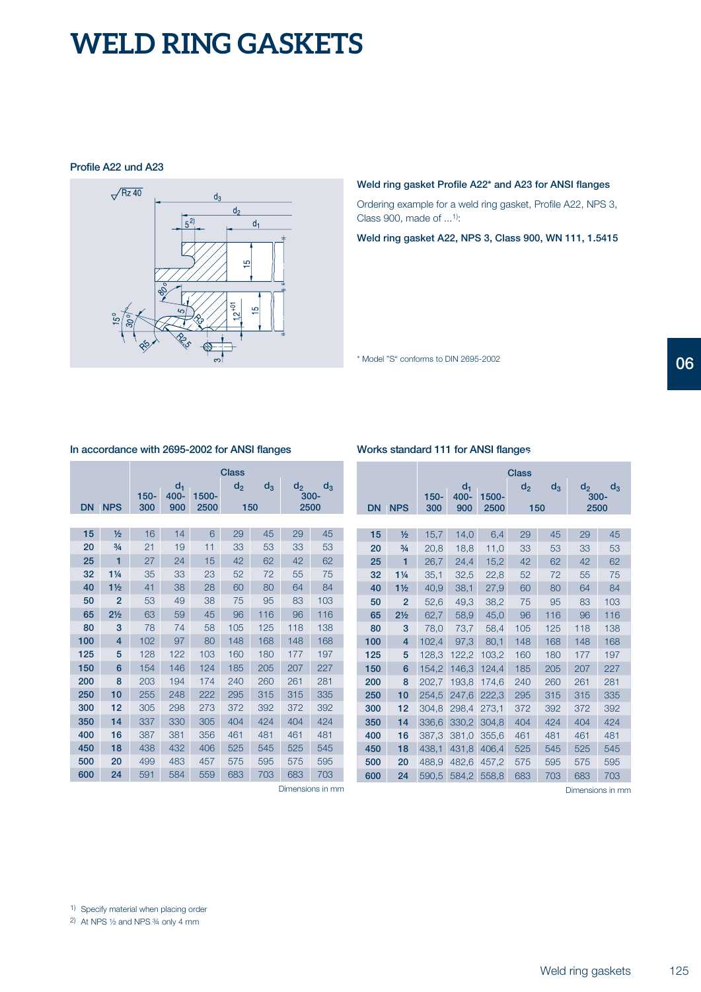### **Profile A22 und A23**



#### **Weld ring gasket Profile A22\* and A23 for ANSI flanges**

Ordering example for a weld ring gasket, Profile A22, NPS 3, Class 900, made of ...1):

**Weld ring gasket A22, NPS 3, Class 900, WN 111, 1.5415**

\* Model "S" conforms to DIN 2695-2002

#### **In accordance with 2695-2002 for ANSI flanges**

|           |                |         |                  |       | <b>Class</b> |       |       |                  |
|-----------|----------------|---------|------------------|-------|--------------|-------|-------|------------------|
|           |                | $150 -$ | $d_1$<br>$400 -$ | 1500- | $d_2$        | $d_3$ | $d_2$ | $d_3$<br>$300 -$ |
| <b>DN</b> | <b>NPS</b>     | 300     | 900              | 2500  | 150          |       |       | 2500             |
|           |                |         |                  |       |              |       |       |                  |
| 15        | $\frac{1}{2}$  | 16      | 14               | 6     | 29           | 45    | 29    | 45               |
| 20        | $\frac{3}{4}$  | 21      | 19               | 11    | 33           | 53    | 33    | 53               |
| 25        | 1              | 27      | 24               | 15    | 42           | 62    | 42    | 62               |
| 32        | $1\frac{1}{4}$ | 35      | 33               | 23    | 52           | 72    | 55    | 75               |
| 40        | 1 <sub>2</sub> | 41      | 38               | 28    | 60           | 80    | 64    | 84               |
| 50        | $\overline{2}$ | 53      | 49               | 38    | 75           | 95    | 83    | 103              |
| 65        | $2\frac{1}{2}$ | 63      | 59               | 45    | 96           | 116   | 96    | 116              |
| 80        | 3              | 78      | 74               | 58    | 105          | 125   | 118   | 138              |
| 100       | 4              | 102     | 97               | 80    | 148          | 168   | 148   | 168              |
| 125       | 5              | 128     | 122              | 103   | 160          | 180   | 177   | 197              |
| 150       | 6              | 154     | 146              | 124   | 185          | 205   | 207   | 227              |
| 200       | 8              | 203     | 194              | 174   | 240          | 260   | 261   | 281              |
| 250       | 10             | 255     | 248              | 222   | 295          | 315   | 315   | 335              |
| 300       | 12             | 305     | 298              | 273   | 372          | 392   | 372   | 392              |
| 350       | 14             | 337     | 330              | 305   | 404          | 424   | 404   | 424              |
| 400       | 16             | 387     | 381              | 356   | 461          | 481   | 461   | 481              |
| 450       | 18             | 438     | 432              | 406   | 525          | 545   | 525   | 545              |
| 500       | 20             | 499     | 483              | 457   | 575          | 595   | 575   | 595              |
| 600       | 24             | 591     | 584              | 559   | 683          | 703   | 683   | 703              |

### **Works standard 111 for ANSI flanges**

| <b>DN</b> | <b>NPS</b>     | $150 -$<br>300 | $d_1$<br>400-<br>900 | 1500-<br>2500 | <b>Class</b><br>d, | $d_3$<br>150 | $d_2$<br>$d_3$<br>$300 -$<br>2500 |     |  |  |  |  |
|-----------|----------------|----------------|----------------------|---------------|--------------------|--------------|-----------------------------------|-----|--|--|--|--|
|           |                |                |                      |               |                    |              |                                   |     |  |  |  |  |
| 15        | $\frac{1}{2}$  | 15,7           | 14,0                 | 6,4           | 29                 | 45           | 29                                | 45  |  |  |  |  |
| 20        | $\frac{3}{4}$  | 20,8           | 18,8                 | 11,0          | 33                 | 53           | 33                                | 53  |  |  |  |  |
| 25        | 1              | 26,7           | 24,4                 | 15,2          | 42                 | 62           | 42                                | 62  |  |  |  |  |
| 32        | $1\frac{1}{4}$ | 35,1           | 32,5                 | 22,8          | 52                 | 72           | 55                                | 75  |  |  |  |  |
| 40        | $1\frac{1}{2}$ | 40,9           | 38,1                 | 27,9          | 60                 | 80           | 64                                | 84  |  |  |  |  |
| 50        | $\overline{2}$ | 52,6           | 49,3                 | 38,2          | 75                 | 95           | 83                                | 103 |  |  |  |  |
| 65        | $2\frac{1}{2}$ | 62,7           | 58,9                 | 45,0          | 96                 | 116          | 96                                | 116 |  |  |  |  |
| 80        | 3              | 78,0           | 73,7                 | 58,4          | 105                | 125          | 118                               | 138 |  |  |  |  |
| 100       | 4              | 102,4          | 97,3                 | 80,1          | 148                | 168          | 148                               | 168 |  |  |  |  |
| 125       | 5              | 128,3          | 122,2                | 103,2         | 160                | 180          | 177                               | 197 |  |  |  |  |
| 150       | 6              | 154,2          | 146,3                | 124,4         | 185                | 205          | 207                               | 227 |  |  |  |  |
| 200       | 8              | 202,7          | 193,8                | 174,6         | 240                | 260          | 261                               | 281 |  |  |  |  |
| 250       | 10             | 254,5          | 247,6                | 222,3         | 295                | 315          | 315                               | 335 |  |  |  |  |
| 300       | 12             | 304,8          | 298,4                | 273,1         | 372                | 392          | 372                               | 392 |  |  |  |  |
| 350       | 14             | 336,6          | 330,2                | 304,8         | 404                | 424          | 404                               | 424 |  |  |  |  |
| 400       | 16             | 387,3          | 381,0                | 355,6         | 461                | 481          | 461                               | 481 |  |  |  |  |
| 450       | 18             | 438,1          | 431,8                | 406,4         | 525                | 545          | 525                               | 545 |  |  |  |  |
| 500       | 20             | 488,9          | 482,6                | 457,2         | 575                | 595          | 575                               | 595 |  |  |  |  |
| 600       | 24             | 590,5          | 584,2                | 558,8         | 683                | 703          | 683                               | 703 |  |  |  |  |
|           |                |                |                      |               |                    |              |                                   |     |  |  |  |  |

Dimensions in mm

Dimensions in mm

1) Specify material when placing order

2) At NPS ½ and NPS ¾ only 4 mm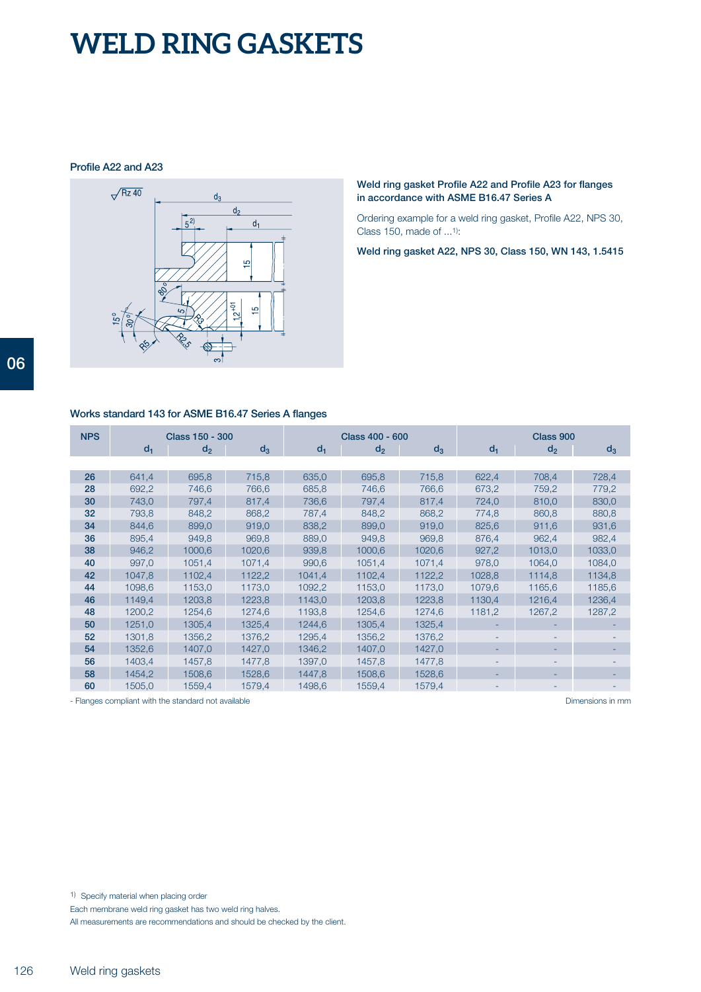**Profile A22 and A23**



**Weld ring gasket Profile A22 and Profile A23 for flanges in accordance with ASME B16.47 Series A**

Ordering example for a weld ring gasket, Profile A22, NPS 30, Class 150, made of ...1):

**Weld ring gasket A22, NPS 30, Class 150, WN 143, 1.5415**

### **Works standard 143 for ASME B16.47 Series A flanges**

| <b>NPS</b> | Class 150 - 300 |                |        |        | Class 400 - 600 |        | Class 900 |                |        |  |
|------------|-----------------|----------------|--------|--------|-----------------|--------|-----------|----------------|--------|--|
|            | $d_1$           | d <sub>2</sub> | $d_3$  | $d_1$  | d <sub>2</sub>  | $d_3$  | $d_1$     | d <sub>2</sub> | $d_3$  |  |
|            |                 |                |        |        |                 |        |           |                |        |  |
| 26         | 641,4           | 695,8          | 715,8  | 635,0  | 695,8           | 715,8  | 622,4     | 708,4          | 728,4  |  |
| 28         | 692,2           | 746,6          | 766,6  | 685,8  | 746,6           | 766,6  | 673.2     | 759,2          | 779,2  |  |
| 30         | 743,0           | 797,4          | 817,4  | 736,6  | 797,4           | 817,4  | 724,0     | 810,0          | 830,0  |  |
| 32         | 793,8           | 848,2          | 868,2  | 787,4  | 848,2           | 868,2  | 774,8     | 860,8          | 880,8  |  |
| 34         | 844,6           | 899,0          | 919,0  | 838,2  | 899,0           | 919,0  | 825,6     | 911,6          | 931,6  |  |
| 36         | 895,4           | 949.8          | 969,8  | 889,0  | 949,8           | 969.8  | 876.4     | 962,4          | 982,4  |  |
| 38         | 946,2           | 1000,6         | 1020,6 | 939,8  | 1000,6          | 1020,6 | 927,2     | 1013,0         | 1033,0 |  |
| 40         | 997,0           | 1051,4         | 1071,4 | 990,6  | 1051,4          | 1071,4 | 978,0     | 1064,0         | 1084,0 |  |
| 42         | 1047,8          | 1102,4         | 1122,2 | 1041,4 | 1102,4          | 1122,2 | 1028,8    | 1114,8         | 1134,8 |  |
| 44         | 1098,6          | 1153,0         | 1173,0 | 1092,2 | 1153,0          | 1173,0 | 1079,6    | 1165,6         | 1185,6 |  |
| 46         | 1149.4          | 1203.8         | 1223,8 | 1143.0 | 1203,8          | 1223,8 | 1130.4    | 1216.4         | 1236,4 |  |
| 48         | 1200,2          | 1254,6         | 1274,6 | 1193,8 | 1254,6          | 1274,6 | 1181,2    | 1267,2         | 1287,2 |  |
| 50         | 1251,0          | 1305,4         | 1325,4 | 1244,6 | 1305,4          | 1325,4 |           |                |        |  |
| 52         | 1301,8          | 1356,2         | 1376,2 | 1295,4 | 1356,2          | 1376,2 |           |                |        |  |
| 54         | 1352,6          | 1407.0         | 1427,0 | 1346.2 | 1407,0          | 1427,0 |           |                |        |  |
| 56         | 1403,4          | 1457,8         | 1477,8 | 1397,0 | 1457,8          | 1477,8 |           |                |        |  |
| 58         | 1454,2          | 1508,6         | 1528,6 | 1447,8 | 1508,6          | 1528,6 |           |                |        |  |
| 60         | 1505,0          | 1559,4         | 1579,4 | 1498,6 | 1559,4          | 1579,4 |           |                |        |  |

- Flanges compliant with the standard not available and the standard problem in the standard not available problem in mm and the standard not available and the standard not available and the standard not available and the

1) Specify material when placing order

Each membrane weld ring gasket has two weld ring halves.

All measurements are recommendations and should be checked by the client.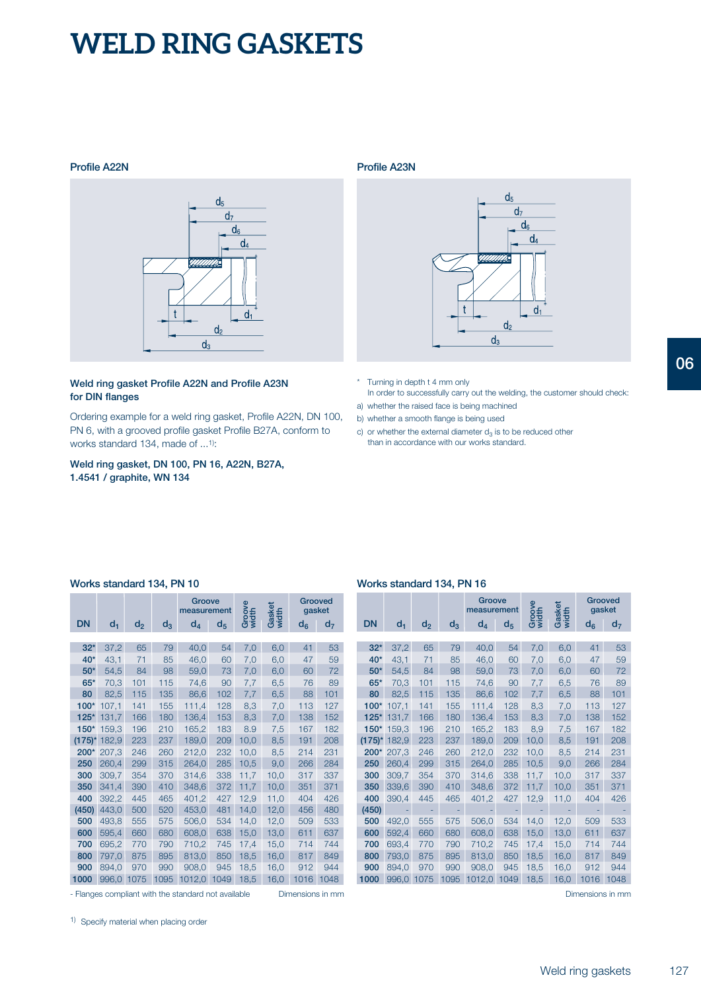#### **Profile A22N**



#### **Weld ring gasket Profile A22N and Profile A23N for DIN flanges**

Ordering example for a weld ring gasket, Profile A22N, DN 100, PN 6, with a grooved profile gasket Profile B27A, conform to works standard 134, made of ...1):

**Weld ring gasket, DN 100, PN 16, A22N, B27A, 1.4541 / graphite, WN 134**

#### **Profile A23N**



- \* Turning in depth t 4 mm only In order to successfully carry out the welding, the customer should check:
- a) whether the raised face is being machined
- b) whether a smooth flange is being used
- c) or whether the external diameter  $d_3$  is to be reduced other than in accordance with our works standard.

|           |       |       |       | Groove<br>measurement |                | Groove<br>width | Gasket<br>width |       | Grooved<br>gasket |
|-----------|-------|-------|-------|-----------------------|----------------|-----------------|-----------------|-------|-------------------|
| <b>DN</b> | $d_1$ | $d_2$ | $d_3$ | $d_4$                 | d <sub>5</sub> |                 |                 | $d_6$ | $d_7$             |
|           |       |       |       |                       |                |                 |                 |       |                   |
| $32*$     | 37,2  | 65    | 79    | 40,0                  | 54             | 7,0             | 6,0             | 41    | 53                |
| 40*       | 43,1  | 71    | 85    | 46,0                  | 60             | 7,0             | 6,0             | 47    | 59                |
| $50*$     | 54,5  | 84    | 98    | 59,0                  | 73             | 7,0             | 6,0             | 60    | 72                |
| $65*$     | 70,3  | 101   | 115   | 74,6                  | 90             | 7,7             | 6,5             | 76    | 89                |
| 80        | 82,5  | 115   | 135   | 86,6                  | 102            | 7,7             | 6,5             | 88    | 101               |
| $100*$    | 107,1 | 141   | 155   | 111,4                 | 128            | 8,3             | 7,0             | 113   | 127               |
| $125*$    | 131,7 | 166   | 180   | 136,4                 | 153            | 8,3             | 7,0             | 138   | 152               |
| $150*$    | 159.3 | 196   | 210   | 165,2                 | 183            | 8.9             | 7,5             | 167   | 182               |
| $(175)^*$ | 182.9 | 223   | 237   | 189,0                 | 209            | 10,0            | 8.5             | 191   | 208               |
| 200*      | 207,3 | 246   | 260   | 212,0                 | 232            | 10,0            | 8,5             | 214   | 231               |
| 250       | 260.4 | 299   | 315   | 264,0                 | 285            | 10,5            | 9,0             | 266   | 284               |
| 300       | 309,7 | 354   | 370   | 314,6                 | 338            | 11,7            | 10,0            | 317   | 337               |
| 350       | 341.4 | 390   | 410   | 348,6                 | 372            | 11,7            | 10,0            | 351   | 371               |
| 400       | 392.2 | 445   | 465   | 401.2                 | 427            | 12,9            | 11,0            | 404   | 426               |
| (450)     | 443,0 | 500   | 520   | 453,0                 | 481            | 14,0            | 12,0            | 456   | 480               |
| 500       | 493,8 | 555   | 575   | 506,0                 | 534            | 14,0            | 12,0            | 509   | 533               |
| 600       | 595,4 | 660   | 680   | 608,0                 | 638            | 15,0            | 13,0            | 611   | 637               |
| 700       | 695,2 | 770   | 790   | 710,2                 | 745            | 17,4            | 15,0            | 714   | 744               |
| 800       | 797,0 | 875   | 895   | 813,0                 | 850            | 18,5            | 16,0            | 817   | 849               |
| 900       | 894,0 | 970   | 990   | 908,0                 | 945            | 18,5            | 16,0            | 912   | 944               |
| 1000      | 996,0 | 1075  | 1095  | 1012,0                | 1049           | 18,5            | 16,0            | 1016  | 1048              |

- Flanges compliant with the standard not available Dimensions in mm Dimensions in mm Dimensions in mm

### **Works standard 134, PN 10 Works standard 134, PN 16**

|           |       |                |       | Groove<br>measurement |       | Groove<br>width | Gasket<br>width | Grooved<br>gasket |                |
|-----------|-------|----------------|-------|-----------------------|-------|-----------------|-----------------|-------------------|----------------|
| <b>DN</b> | $d_1$ | d <sub>2</sub> | $d_3$ | $d_4$                 | $d_5$ |                 |                 | $d_{6}$           | d <sub>7</sub> |
|           |       |                |       |                       |       |                 |                 |                   |                |
| $32*$     | 37,2  | 65             | 79    | 40,0                  | 54    | 7,0             | 6,0             | 41                | 53             |
| 40*       | 43,1  | 71             | 85    | 46,0                  | 60    | 7,0             | 6,0             | 47                | 59             |
| $50*$     | 54,5  | 84             | 98    | 59,0                  | 73    | 7,0             | 6,0             | 60                | 72             |
| $65*$     | 70,3  | 101            | 115   | 74,6                  | 90    | 7,7             | 6,5             | 76                | 89             |
| 80        | 82,5  | 115            | 135   | 86,6                  | 102   | 7.7             | 6,5             | 88                | 101            |
| $100*$    | 107.1 | 141            | 155   | 111,4                 | 128   | 8.3             | 7,0             | 113               | 127            |
| $125*$    | 131,7 | 166            | 180   | 136,4                 | 153   | 8.3             | 7,0             | 138               | 152            |
| $150*$    | 159.3 | 196            | 210   | 165.2                 | 183   | 8.9             | 7,5             | 167               | 182            |
| $(175)^*$ | 182.9 | 223            | 237   | 189,0                 | 209   | 10,0            | 8,5             | 191               | 208            |
| 200*      | 207,3 | 246            | 260   | 212,0                 | 232   | 10,0            | 8,5             | 214               | 231            |
| 250       | 260.4 | 299            | 315   | 264.0                 | 285   | 10,5            | 9,0             | 266               | 284            |
| 300       | 309,7 | 354            | 370   | 314,6                 | 338   | 11,7            | 10,0            | 317               | 337            |
| 350       | 339,6 | 390            | 410   | 348.6                 | 372   | 11,7            | 10.0            | 351               | 371            |
| 400       | 390.4 | 445            | 465   | 401,2                 | 427   | 12,9            | 11.0            | 404               | 426            |
| (450)     |       |                |       |                       |       |                 |                 |                   |                |
| 500       | 492,0 | 555            | 575   | 506,0                 | 534   | 14,0            | 12,0            | 509               | 533            |
| 600       | 592.4 | 660            | 680   | 608,0                 | 638   | 15,0            | 13,0            | 611               | 637            |
| 700       | 693,4 | 770            | 790   | 710,2                 | 745   | 17,4            | 15,0            | 714               | 744            |
| 800       | 793.0 | 875            | 895   | 813.0                 | 850   | 18.5            | 16,0            | 817               | 849            |
| 900       | 894.0 | 970            | 990   | 908.0                 | 945   | 18.5            | 16,0            | 912               | 944            |
| 1000      | 996,0 | 1075           | 1095  | 1012.0                | 1049  | 18,5            | 16,0            | 1016              | 1048           |

1) Specify material when placing order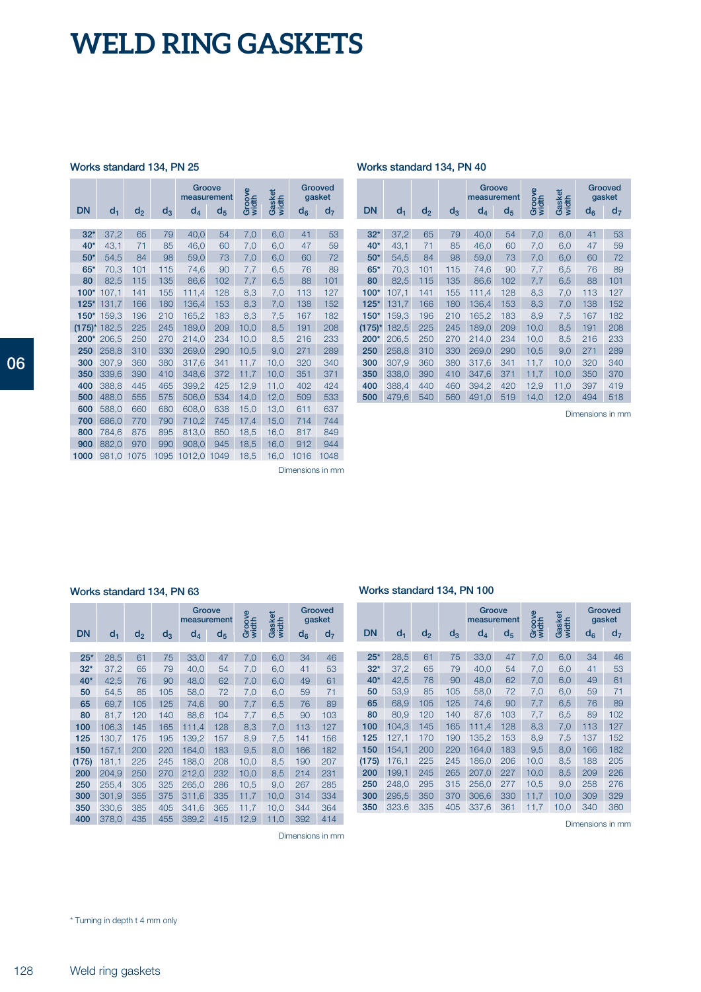### **Works standard 134, PN 25 Works standard 134, PN 40**

|           |       |       |       |        | Groove<br>measurement | Groove<br>width | Gasket<br>width          |       | Grooved<br>gasket |
|-----------|-------|-------|-------|--------|-----------------------|-----------------|--------------------------|-------|-------------------|
| <b>DN</b> | $d_1$ | $d_2$ | $d_3$ | $d_4$  | d <sub>5</sub>        |                 |                          | $d_6$ | $d_7$             |
|           |       |       |       |        |                       |                 |                          |       |                   |
| $32*$     | 37,2  | 65    | 79    | 40,0   | 54                    | 7,0             | 6,0                      | 41    | 53                |
| $40*$     | 43,1  | 71    | 85    | 46,0   | 60                    | 7,0             | 6,0                      | 47    | 59                |
| $50*$     | 54,5  | 84    | 98    | 59,0   | 73                    | 7,0             | 6,0                      | 60    | 72                |
| $65*$     | 70,3  | 101   | 115   | 74,6   | 90                    | 7,7             | 6,5                      | 76    | 89                |
| 80        | 82,5  | 115   | 135   | 86,6   | 102                   | 7,7             | 6,5                      | 88    | 101               |
| $100*$    | 107,1 | 141   | 155   | 111.4  | 128                   | 8,3             | 7,0                      | 113   | 127               |
| $125*$    | 131,7 | 166   | 180   | 136,4  | 153                   | 8,3             | 7,0                      | 138   | 152               |
| $150*$    | 159,3 | 196   | 210   | 165,2  | 183                   | 8,3             | 7,5                      | 167   | 182               |
| $(175)^*$ | 182,5 | 225   | 245   | 189,0  | 209                   | 10,0            | 8,5                      | 191   | 208               |
| 200*      | 206.5 | 250   | 270   | 214,0  | 234                   | 10,0            | 8,5                      | 216   | 233               |
| 250       | 258.8 | 310   | 330   | 269,0  | 290                   | 10,5            | 9,0                      | 271   | 289               |
| 300       | 307,9 | 360   | 380   | 317,6  | 341                   | 11,7            | 10,0                     | 320   | 340               |
| 350       | 339,6 | 390   | 410   | 348,6  | 372                   | 11,7            | 10.0                     | 351   | 371               |
| 400       | 388,8 | 445   | 465   | 399,2  | 425                   | 12,9            | 11,0                     | 402   | 424               |
| 500       | 488,0 | 555   | 575   | 506,0  | 534                   | 14,0            | 12,0                     | 509   | 533               |
| 600       | 588,0 | 660   | 680   | 608,0  | 638                   | 15,0            | 13,0                     | 611   | 637               |
| 700       | 686.0 | 770   | 790   | 710.2  | 745                   | 17.4            | 15,0                     | 714   | 744               |
| 800       | 784,6 | 875   | 895   | 813,0  | 850                   | 18,5            | 16,0                     | 817   | 849               |
| 900       | 882.0 | 970   | 990   | 908,0  | 945                   | 18,5            | 16,0                     | 912   | 944               |
| 1000      | 981,0 | 1075  | 1095  | 1012,0 | 1049                  | 18,5            | 16,0                     | 1016  | 1048              |
|           |       |       |       |        |                       |                 | $\overline{\phantom{a}}$ |       |                   |

|           |                |                |       | Groove<br>measurement |         | Groove<br>width | Gasket |       | Grooved<br>gasket |
|-----------|----------------|----------------|-------|-----------------------|---------|-----------------|--------|-------|-------------------|
| <b>DN</b> | d <sub>1</sub> | d <sub>2</sub> | $d_3$ | $d_{4}$               | $d_{5}$ |                 | width  | $d_6$ | d <sub>7</sub>    |
|           |                |                |       |                       |         |                 |        |       |                   |
| $32*$     | 37.2           | 65             | 79    | 40,0                  | 54      | 7,0             | 6,0    | 41    | 53                |
| $40*$     | 43,1           | 71             | 85    | 46,0                  | 60      | 7,0             | 6,0    | 47    | 59                |
| $50*$     | 54,5           | 84             | 98    | 59,0                  | 73      | 7,0             | 6,0    | 60    | 72                |
| $65*$     | 70,3           | 101            | 115   | 74,6                  | 90      | 7,7             | 6,5    | 76    | 89                |
| 80        | 82.5           | 115            | 135   | 86,6                  | 102     | 7,7             | 6,5    | 88    | 101               |
| $100*$    | 107,1          | 141            | 155   | 111,4                 | 128     | 8,3             | 7,0    | 113   | 127               |
| $125*$    | 131,7          | 166            | 180   | 136,4                 | 153     | 8,3             | 7.0    | 138   | 152               |
| $150*$    | 159.3          | 196            | 210   | 165,2                 | 183     | 8,9             | 7,5    | 167   | 182               |
| $(175)^*$ | 182.5          | 225            | 245   | 189,0                 | 209     | 10,0            | 8.5    | 191   | 208               |
| $200*$    | 206,5          | 250            | 270   | 214,0                 | 234     | 10,0            | 8,5    | 216   | 233               |
| 250       | 258.8          | 310            | 330   | 269.0                 | 290     | 10.5            | 9.0    | 271   | 289               |
| 300       | 307,9          | 360            | 380   | 317,6                 | 341     | 11,7            | 10,0   | 320   | 340               |
| 350       | 338.0          | 390            | 410   | 347.6                 | 371     | 11.7            | 10.0   | 350   | 370               |
| 400       | 388.4          | 440            | 460   | 394.2                 | 420     | 12,9            | 11,0   | 397   | 419               |
| 500       | 479,6          | 540            | 560   | 491,0                 | 519     | 14,0            | 12,0   | 494   | 518               |

Dimensions in mm

Dimensions in mm

Dimensions in mm

|       |       |       |       | Groove<br>measurement |                | Groove<br>width | Gasket<br>width |         | Grooved<br>gasket |
|-------|-------|-------|-------|-----------------------|----------------|-----------------|-----------------|---------|-------------------|
| DN    | $d_1$ | $d_2$ | $d_3$ | $d_4$                 | d <sub>5</sub> |                 |                 | $d_{6}$ | d <sub>7</sub>    |
|       |       |       |       |                       |                |                 |                 |         |                   |
| $25*$ | 28,5  | 61    | 75    | 33,0                  | 47             | 7,0             | 6,0             | 34      | 46                |
| $32*$ | 37,2  | 65    | 79    | 40,0                  | 54             | 7,0             | 6,0             | 41      | 53                |
| $40*$ | 42,5  | 76    | 90    | 48,0                  | 62             | 7,0             | 6,0             | 49      | 61                |
| 50    | 54,5  | 85    | 105   | 58,0                  | 72             | 7,0             | 6,0             | 59      | 71                |
| 65    | 69,7  | 105   | 125   | 74,6                  | 90             | 7,7             | 6,5             | 76      | 89                |
| 80    | 81,7  | 120   | 140   | 88,6                  | 104            | 7,7             | 6,5             | 90      | 103               |
| 100   | 106,3 | 145   | 165   | 111,4                 | 128            | 8,3             | 7,0             | 113     | 127               |
| 125   | 130,7 | 175   | 195   | 139.2                 | 157            | 8,9             | 7,5             | 141     | 156               |
| 150   | 157,1 | 200   | 220   | 164,0                 | 183            | 9,5             | 8,0             | 166     | 182               |
| (175) | 181,1 | 225   | 245   | 188,0                 | 208            | 10,0            | 8,5             | 190     | 207               |
| 200   | 204,9 | 250   | 270   | 212,0                 | 232            | 10,0            | 8,5             | 214     | 231               |
| 250   | 255,4 | 305   | 325   | 265,0                 | 286            | 10,5            | 9,0             | 267     | 285               |
| 300   | 301,9 | 355   | 375   | 311,6                 | 335            | 11,7            | 10,0            | 314     | 334               |
| 350   | 330,6 | 385   | 405   | 341,6                 | 365            | 11,7            | 10,0            | 344     | 364               |
| 400   | 378,0 | 435   | 455   | 389,2                 | 415            | 12,9            | 11,0            | 392     | 414               |

### **Works standard 134, PN 63 Works standard 134, PN 100**

| DN    | $d_1$ | $d_2$ | $d_3$ | Groove<br>measurement<br>$d_4$ | $d_{5}$ | Groove<br>width | Gasket<br>width | $d_6$ | Grooved<br>gasket<br>d <sub>7</sub> |
|-------|-------|-------|-------|--------------------------------|---------|-----------------|-----------------|-------|-------------------------------------|
|       |       |       |       |                                |         |                 |                 |       |                                     |
| $25*$ | 28,5  | 61    | 75    | 33,0                           | 47      | 7,0             | 6,0             | 34    | 46                                  |
| $32*$ | 37,2  | 65    | 79    | 40,0                           | 54      | 7,0             | 6,0             | 41    | 53                                  |
| $40*$ | 42,5  | 76    | 90    | 48,0                           | 62      | 7,0             | 6,0             | 49    | 61                                  |
| 50    | 53,9  | 85    | 105   | 58,0                           | 72      | 7,0             | 6,0             | 59    | 71                                  |
| 65    | 68,9  | 105   | 125   | 74,6                           | 90      | 7,7             | 6,5             | 76    | 89                                  |
| 80    | 80,9  | 120   | 140   | 87,6                           | 103     | 7,7             | 6,5             | 89    | 102                                 |
| 100   | 104.3 | 145   | 165   | 111.4                          | 128     | 8.3             | 7,0             | 113   | 127                                 |
| 125   | 127,1 | 170   | 190   | 135,2                          | 153     | 8,9             | 7,5             | 137   | 152                                 |
| 150   | 154,1 | 200   | 220   | 164,0                          | 183     | 9,5             | 8,0             | 166   | 182                                 |
| (175) | 176,1 | 225   | 245   | 186,0                          | 206     | 10,0            | 8,5             | 188   | 205                                 |
| 200   | 199,1 | 245   | 265   | 207.0                          | 227     | 10,0            | 8,5             | 209   | 226                                 |
| 250   | 248,0 | 295   | 315   | 256,0                          | 277     | 10,5            | 9,0             | 258   | 276                                 |
| 300   | 295.5 | 350   | 370   | 306,6                          | 330     | 11,7            | 10,0            | 309   | 329                                 |
| 350   | 323.6 | 335   | 405   | 337,6                          | 361     | 11,7            | 10,0            | 340   | 360                                 |

Dimensions in mm

\* Turning in depth t 4 mm only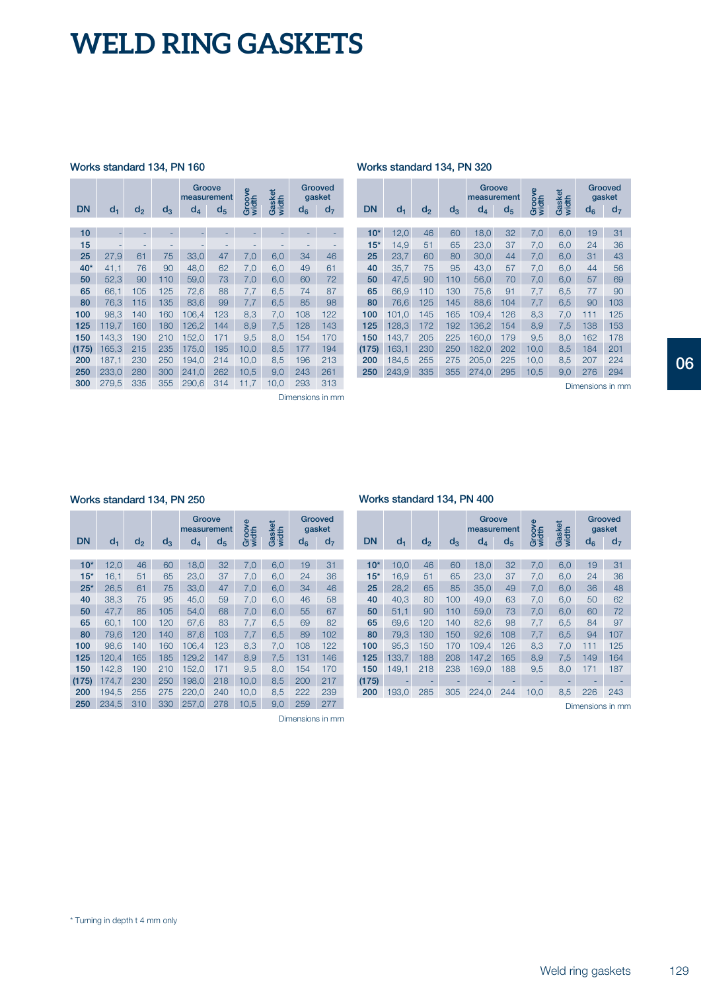### **Works standard 134, PN 160**

| <b>DN</b> | $d_1$ | d <sub>2</sub> | $d_3$ | Groove<br>measurement<br>d <sub>4</sub> | $d_{5}$ | Groov<br>width | Gasket<br>width | $d_6$ | Grooved<br>gasket<br>d <sub>7</sub> |
|-----------|-------|----------------|-------|-----------------------------------------|---------|----------------|-----------------|-------|-------------------------------------|
|           |       |                |       |                                         |         |                |                 |       |                                     |
| 10        |       |                |       |                                         |         |                |                 |       |                                     |
| 15        |       |                |       |                                         |         |                |                 |       |                                     |
| 25        | 27,9  | 61             | 75    | 33,0                                    | 47      | 7,0            | 6,0             | 34    | 46                                  |
| $40*$     | 41,1  | 76             | 90    | 48,0                                    | 62      | 7,0            | 6,0             | 49    | 61                                  |
| 50        | 52,3  | 90             | 110   | 59,0                                    | 73      | 7,0            | 6,0             | 60    | 72                                  |
| 65        | 66,1  | 105            | 125   | 72,6                                    | 88      | 7,7            | 6,5             | 74    | 87                                  |
| 80        | 76,3  | 115            | 135   | 83,6                                    | 99      | 7,7            | 6,5             | 85    | 98                                  |
| 100       | 98,3  | 140            | 160   | 106.4                                   | 123     | 8,3            | 7,0             | 108   | 122                                 |
| 125       | 119,7 | 160            | 180   | 126,2                                   | 144     | 8,9            | 7,5             | 128   | 143                                 |
| 150       | 143,3 | 190            | 210   | 152,0                                   | 171     | 9,5            | 8,0             | 154   | 170                                 |
| (175)     | 165,3 | 215            | 235   | 175,0                                   | 195     | 10,0           | 8,5             | 177   | 194                                 |
| 200       | 187,1 | 230            | 250   | 194,0                                   | 214     | 10,0           | 8,5             | 196   | 213                                 |
| 250       | 233,0 | 280            | 300   | 241,0                                   | 262     | 10,5           | 9,0             | 243   | 261                                 |
| 300       | 279,5 | 335            | 355   | 290,6                                   | 314     | 11,7           | 10,0            | 293   | 313                                 |
|           |       |                |       |                                         |         |                |                 |       | Dimensions in mm                    |

**Works standard 134, PN 320**

|           |       |                |       | Groove<br>measurement |                | Groove<br>width | Gasket<br>width |       | Grooved<br>gasket |
|-----------|-------|----------------|-------|-----------------------|----------------|-----------------|-----------------|-------|-------------------|
| <b>DN</b> | $d_1$ | d <sub>2</sub> | $d_3$ | $d_{4}$               | d <sub>5</sub> |                 |                 | $d_6$ | d <sub>7</sub>    |
|           |       |                |       |                       |                |                 |                 |       |                   |
| $10*$     | 12,0  | 46             | 60    | 18,0                  | 32             | 7,0             | 6,0             | 19    | 31                |
| $15*$     | 14,9  | 51             | 65    | 23,0                  | 37             | 7,0             | 6,0             | 24    | 36                |
| 25        | 23.7  | 60             | 80    | 30,0                  | 44             | 7,0             | 6,0             | 31    | 43                |
| 40        | 35,7  | 75             | 95    | 43,0                  | 57             | 7,0             | 6,0             | 44    | 56                |
| 50        | 47,5  | 90             | 110   | 56,0                  | 70             | 7,0             | 6,0             | 57    | 69                |
| 65        | 66,9  | 110            | 130   | 75,6                  | 91             | 7,7             | 6,5             | 77    | 90                |
| 80        | 76.6  | 125            | 145   | 88.6                  | 104            | 7.7             | 6,5             | 90    | 103               |
| 100       | 101.0 | 145            | 165   | 109.4                 | 126            | 8,3             | 7,0             | 111   | 125               |
| 125       | 128.3 | 172            | 192   | 136,2                 | 154            | 8.9             | 7,5             | 138   | 153               |
| 150       | 143.7 | 205            | 225   | 160,0                 | 179            | 9,5             | 8,0             | 162   | 178               |
| (175)     | 163.1 | 230            | 250   | 182.0                 | 202            | 10,0            | 8,5             | 184   | 201               |
| 200       | 184,5 | 255            | 275   | 205,0                 | 225            | 10,0            | 8,5             | 207   | 224               |
| 250       | 243,9 | 335            | 355   | 274.0                 | 295            | 10,5            | 9,0             | 276   | 294               |

Dimensions in mm

#### **Works standard 134, PN 250 Works standard 134, PN 400**

| <b>DN</b> | $d_1$ | d <sub>2</sub> | $d_3$ | Groove<br>measurement<br>$d_4$ | $d_5$ | Groove<br>width | Gasket<br>width | $d_6$ | Grooved<br>gasket<br>d <sub>7</sub> |
|-----------|-------|----------------|-------|--------------------------------|-------|-----------------|-----------------|-------|-------------------------------------|
|           |       |                |       |                                |       |                 |                 |       |                                     |
| $10*$     | 12.0  | 46             | 60    | 18,0                           | 32    | 7.0             | 6,0             | 19    | 31                                  |
| $15*$     | 16,1  | 51             | 65    | 23,0                           | 37    | 7,0             | 6,0             | 24    | 36                                  |
| $25*$     | 26,5  | 61             | 75    | 33,0                           | 47    | 7,0             | 6,0             | 34    | 46                                  |
| 40        | 38,3  | 75             | 95    | 45,0                           | 59    | 7,0             | 6,0             | 46    | 58                                  |
| 50        | 47,7  | 85             | 105   | 54.0                           | 68    | 7.0             | 6,0             | 55    | 67                                  |
| 65        | 60,1  | 100            | 120   | 67,6                           | 83    | 7,7             | 6,5             | 69    | 82                                  |
| 80        | 79,6  | 120            | 140   | 87,6                           | 103   | 7,7             | 6,5             | 89    | 102                                 |
| 100       | 98,6  | 140            | 160   | 106,4                          | 123   | 8,3             | 7,0             | 108   | 122                                 |
| 125       | 120.4 | 165            | 185   | 129,2                          | 147   | 8,9             | 7,5             | 131   | 146                                 |
| 150       | 142,8 | 190            | 210   | 152,0                          | 171   | 9,5             | 8,0             | 154   | 170                                 |
| (175)     | 174,7 | 230            | 250   | 198,0                          | 218   | 10,0            | 8,5             | 200   | 217                                 |
| 200       | 194,5 | 255            | 275   | 220.0                          | 240   | 10,0            | 8,5             | 222   | 239                                 |
| 250       | 234,5 | 310            | 330   | 257,0                          | 278   | 10,5            | 9,0             | 259   | 277                                 |

Dimensions in mm

| <b>DN</b> | $d_1$ | d <sub>2</sub> | $d_3$ | Groove<br>measurement<br>$d_4$ | $d_{5}$ | Groove<br>width | Gasket<br>width | $d_{6}$ | Grooved<br>gasket<br>d <sub>7</sub> |
|-----------|-------|----------------|-------|--------------------------------|---------|-----------------|-----------------|---------|-------------------------------------|
|           |       |                |       |                                |         |                 |                 |         |                                     |
| $10*$     | 10.0  | 46             | 60    | 18,0                           | 32      | 7,0             | 6,0             | 19      | 31                                  |
| $15*$     | 16,9  | 51             | 65    | 23,0                           | 37      | 7,0             | 6,0             | 24      | 36                                  |
| 25        | 28.2  | 65             | 85    | 35,0                           | 49      | 7,0             | 6,0             | 36      | 48                                  |
| 40        | 40,3  | 80             | 100   | 49,0                           | 63      | 7,0             | 6,0             | 50      | 62                                  |
| 50        | 51.1  | 90             | 110   | 59.0                           | 73      | 7,0             | 6,0             | 60      | 72                                  |
| 65        | 69.6  | 120            | 140   | 82,6                           | 98      | 7,7             | 6,5             | 84      | 97                                  |
| 80        | 79.3  | 130            | 150   | 92,6                           | 108     | 7.7             | 6,5             | 94      | 107                                 |
| 100       | 95.3  | 150            | 170   | 109.4                          | 126     | 8,3             | 7,0             | 111     | 125                                 |
| 125       | 133.7 | 188            | 208   | 147.2                          | 165     | 8,9             | 7,5             | 149     | 164                                 |
| 150       | 149.1 | 218            | 238   | 169.0                          | 188     | 9,5             | 8,0             | 171     | 187                                 |
| (175)     |       |                |       |                                |         |                 |                 |         |                                     |
| 200       | 193,0 | 285            | 305   | 224.0                          | 244     | 10,0            | 8,5             | 226     | 243                                 |

Dimensions in mm